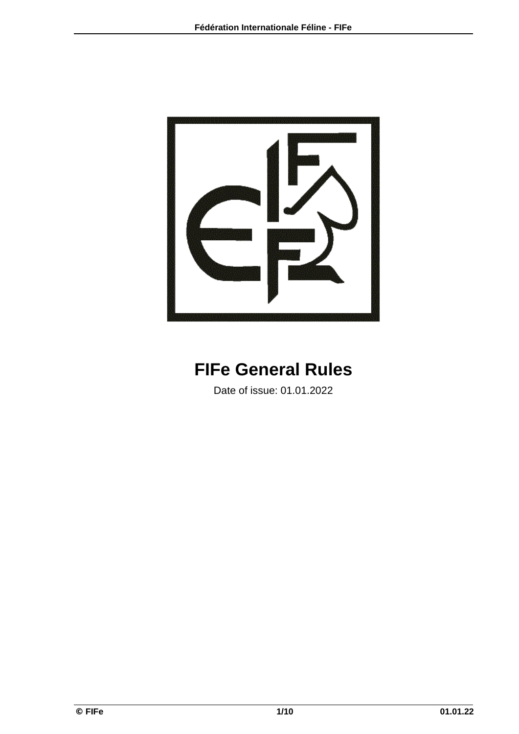

# **FIFe General Rules**

Date of issue: 01.01.2022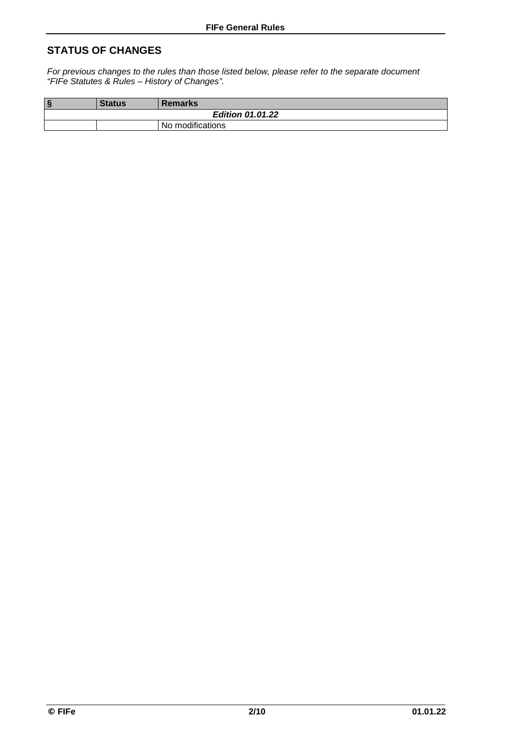### **STATUS OF CHANGES**

*For previous changes to the rules than those listed below, please refer to the separate document "FIFe Statutes & Rules – History of Changes".*

| $\S$                    | <b>Status</b> | <b>Remarks</b>   |  |  |  |  |
|-------------------------|---------------|------------------|--|--|--|--|
| <b>Edition 01.01.22</b> |               |                  |  |  |  |  |
|                         |               | No modifications |  |  |  |  |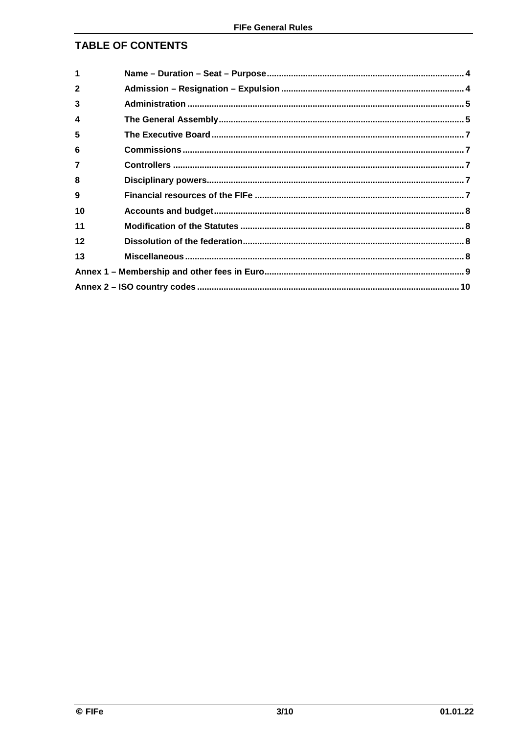### **TABLE OF CONTENTS**

| 1              |  |  |  |  |
|----------------|--|--|--|--|
| $\mathbf{2}$   |  |  |  |  |
| 3              |  |  |  |  |
| 4              |  |  |  |  |
| 5              |  |  |  |  |
| 6              |  |  |  |  |
| $\overline{7}$ |  |  |  |  |
| 8              |  |  |  |  |
| 9              |  |  |  |  |
| 10             |  |  |  |  |
| 11             |  |  |  |  |
| 12             |  |  |  |  |
| 13             |  |  |  |  |
|                |  |  |  |  |
|                |  |  |  |  |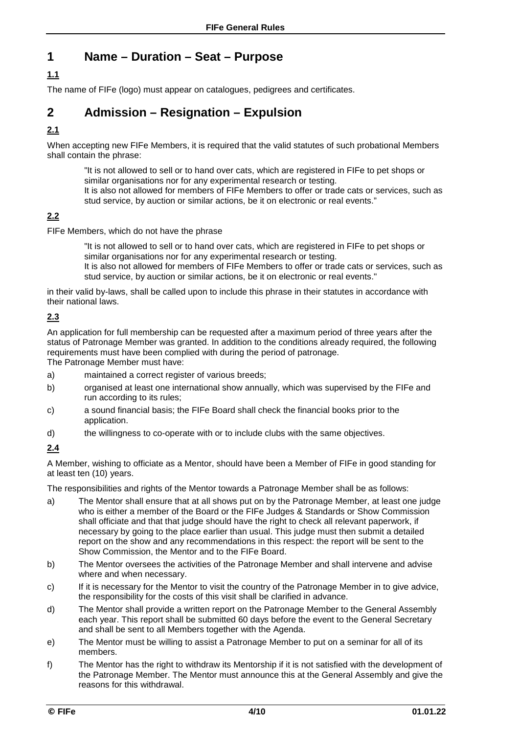### **1 Name – Duration – Seat – Purpose**

### **1.1**

The name of FIFe (logo) must appear on catalogues, pedigrees and certificates.

### **2 Admission – Resignation – Expulsion**

### **2.1**

When accepting new FIFe Members, it is required that the valid statutes of such probational Members shall contain the phrase:

"It is not allowed to sell or to hand over cats, which are registered in FIFe to pet shops or similar organisations nor for any experimental research or testing. It is also not allowed for members of FIFe Members to offer or trade cats or services, such as

stud service, by auction or similar actions, be it on electronic or real events."

### **2.2**

FIFe Members, which do not have the phrase

"It is not allowed to sell or to hand over cats, which are registered in FIFe to pet shops or similar organisations nor for any experimental research or testing.

It is also not allowed for members of FIFe Members to offer or trade cats or services, such as stud service, by auction or similar actions, be it on electronic or real events."

in their valid by-laws, shall be called upon to include this phrase in their statutes in accordance with their national laws.

#### **2.3**

An application for full membership can be requested after a maximum period of three years after the status of Patronage Member was granted. In addition to the conditions already required, the following requirements must have been complied with during the period of patronage.

The Patronage Member must have:

- a) maintained a correct register of various breeds;
- b) organised at least one international show annually, which was supervised by the FIFe and run according to its rules;
- c) a sound financial basis; the FIFe Board shall check the financial books prior to the application.
- d) the willingness to co-operate with or to include clubs with the same objectives.

### **2.4**

A Member, wishing to officiate as a Mentor, should have been a Member of FIFe in good standing for at least ten (10) years.

The responsibilities and rights of the Mentor towards a Patronage Member shall be as follows:

- a) The Mentor shall ensure that at all shows put on by the Patronage Member, at least one judge who is either a member of the Board or the FIFe Judges & Standards or Show Commission shall officiate and that that judge should have the right to check all relevant paperwork, if necessary by going to the place earlier than usual. This judge must then submit a detailed report on the show and any recommendations in this respect: the report will be sent to the Show Commission, the Mentor and to the FIFe Board.
- b) The Mentor oversees the activities of the Patronage Member and shall intervene and advise where and when necessary.
- c) If it is necessary for the Mentor to visit the country of the Patronage Member in to give advice, the responsibility for the costs of this visit shall be clarified in advance.
- d) The Mentor shall provide a written report on the Patronage Member to the General Assembly each year. This report shall be submitted 60 days before the event to the General Secretary and shall be sent to all Members together with the Agenda.
- e) The Mentor must be willing to assist a Patronage Member to put on a seminar for all of its members.
- f) The Mentor has the right to withdraw its Mentorship if it is not satisfied with the development of the Patronage Member. The Mentor must announce this at the General Assembly and give the reasons for this withdrawal.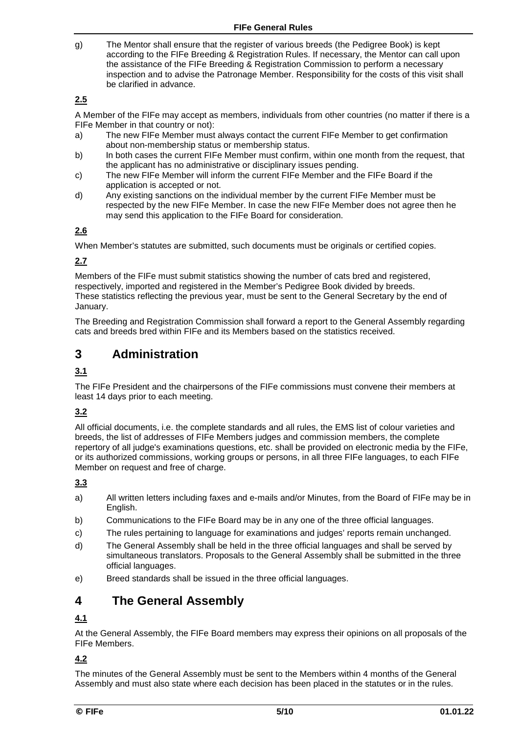g) The Mentor shall ensure that the register of various breeds (the Pedigree Book) is kept according to the FIFe Breeding & Registration Rules. If necessary, the Mentor can call upon the assistance of the FIFe Breeding & Registration Commission to perform a necessary inspection and to advise the Patronage Member. Responsibility for the costs of this visit shall be clarified in advance.

### **2.5**

A Member of the FIFe may accept as members, individuals from other countries (no matter if there is a FIFe Member in that country or not):

- a) The new FIFe Member must always contact the current FIFe Member to get confirmation about non-membership status or membership status.
- b) In both cases the current FIFe Member must confirm, within one month from the request, that the applicant has no administrative or disciplinary issues pending.
- c) The new FIFe Member will inform the current FIFe Member and the FIFe Board if the application is accepted or not.
- d) Any existing sanctions on the individual member by the current FIFe Member must be respected by the new FIFe Member. In case the new FIFe Member does not agree then he may send this application to the FIFe Board for consideration.

### **2.6**

When Member's statutes are submitted, such documents must be originals or certified copies.

### **2.7**

Members of the FIFe must submit statistics showing the number of cats bred and registered, respectively, imported and registered in the Member's Pedigree Book divided by breeds. These statistics reflecting the previous year, must be sent to the General Secretary by the end of January.

The Breeding and Registration Commission shall forward a report to the General Assembly regarding cats and breeds bred within FIFe and its Members based on the statistics received.

### **3 Administration**

### **3.1**

The FIFe President and the chairpersons of the FIFe commissions must convene their members at least 14 days prior to each meeting.

### **3.2**

All official documents, i.e. the complete standards and all rules, the EMS list of colour varieties and breeds, the list of addresses of FIFe Members judges and commission members, the complete repertory of all judge's examinations questions, etc. shall be provided on electronic media by the FIFe, or its authorized commissions, working groups or persons, in all three FIFe languages, to each FIFe Member on request and free of charge.

### **3.3**

- a) All written letters including faxes and e-mails and/or Minutes, from the Board of FIFe may be in English.
- b) Communications to the FIFe Board may be in any one of the three official languages.
- c) The rules pertaining to language for examinations and judges' reports remain unchanged.
- d) The General Assembly shall be held in the three official languages and shall be served by simultaneous translators. Proposals to the General Assembly shall be submitted in the three official languages.
- e) Breed standards shall be issued in the three official languages.

### **4 The General Assembly**

### **4.1**

At the General Assembly, the FIFe Board members may express their opinions on all proposals of the FIFe Members.

### **4.2**

The minutes of the General Assembly must be sent to the Members within 4 months of the General Assembly and must also state where each decision has been placed in the statutes or in the rules.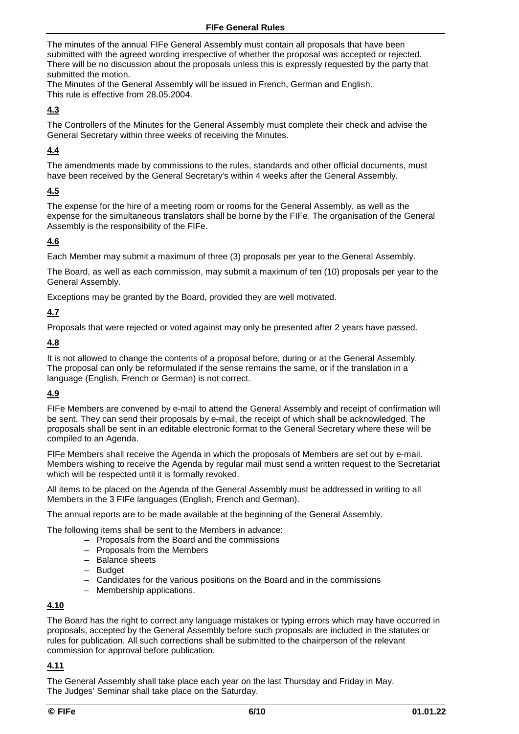The minutes of the annual FIFe General Assembly must contain all proposals that have been submitted with the agreed wording irrespective of whether the proposal was accepted or rejected. There will be no discussion about the proposals unless this is expressly requested by the party that submitted the motion.

The Minutes of the General Assembly will be issued in French, German and English. This rule is effective from 28.05.2004.

### **4.3**

The Controllers of the Minutes for the General Assembly must complete their check and advise the General Secretary within three weeks of receiving the Minutes.

### **4.4**

The amendments made by commissions to the rules, standards and other official documents, must have been received by the General Secretary's within 4 weeks after the General Assembly.

### **4.5**

The expense for the hire of a meeting room or rooms for the General Assembly, as well as the expense for the simultaneous translators shall be borne by the FIFe. The organisation of the General Assembly is the responsibility of the FIFe.

### **4.6**

Each Member may submit a maximum of three (3) proposals per year to the General Assembly.

The Board, as well as each commission, may submit a maximum of ten (10) proposals per year to the General Assembly.

Exceptions may be granted by the Board, provided they are well motivated.

#### **4.7**

Proposals that were rejected or voted against may only be presented after 2 years have passed.

#### **4.8**

It is not allowed to change the contents of a proposal before, during or at the General Assembly. The proposal can only be reformulated if the sense remains the same, or if the translation in a language (English, French or German) is not correct.

### **4.9**

FIFe Members are convened by e-mail to attend the General Assembly and receipt of confirmation will be sent. They can send their proposals by e-mail, the receipt of which shall be acknowledged. The proposals shall be sent in an editable electronic format to the General Secretary where these will be compiled to an Agenda.

FIFe Members shall receive the Agenda in which the proposals of Members are set out by e-mail. Members wishing to receive the Agenda by regular mail must send a written request to the Secretariat which will be respected until it is formally revoked.

All items to be placed on the Agenda of the General Assembly must be addressed in writing to all Members in the 3 FIFe languages (English, French and German).

The annual reports are to be made available at the beginning of the General Assembly.

The following items shall be sent to the Members in advance:

- Proposals from the Board and the commissions
- Proposals from the Members
- Balance sheets
- Budget
- Candidates for the various positions on the Board and in the commissions
- Membership applications.

#### **4.10**

The Board has the right to correct any language mistakes or typing errors which may have occurred in proposals, accepted by the General Assembly before such proposals are included in the statutes or rules for publication. All such corrections shall be submitted to the chairperson of the relevant commission for approval before publication.

#### **4.11**

The General Assembly shall take place each year on the last Thursday and Friday in May. The Judges' Seminar shall take place on the Saturday.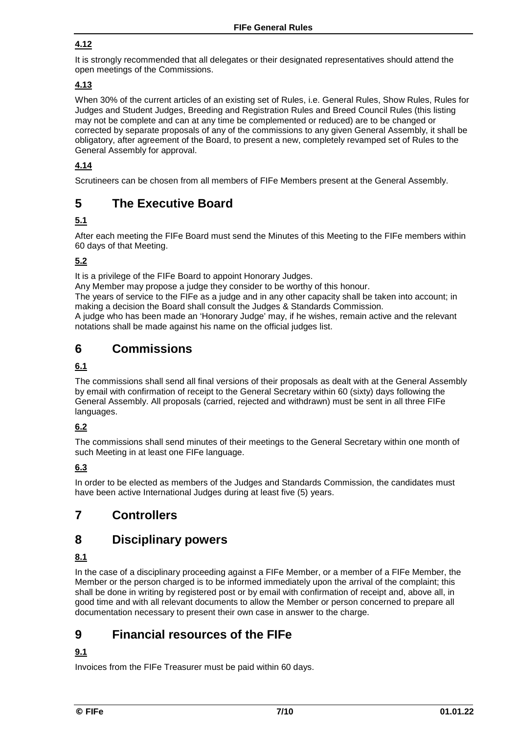### **4.12**

It is strongly recommended that all delegates or their designated representatives should attend the open meetings of the Commissions.

### **4.13**

When 30% of the current articles of an existing set of Rules, i.e. General Rules, Show Rules, Rules for Judges and Student Judges, Breeding and Registration Rules and Breed Council Rules (this listing may not be complete and can at any time be complemented or reduced) are to be changed or corrected by separate proposals of any of the commissions to any given General Assembly, it shall be obligatory, after agreement of the Board, to present a new, completely revamped set of Rules to the General Assembly for approval.

### **4.14**

Scrutineers can be chosen from all members of FIFe Members present at the General Assembly.

### **5 The Executive Board**

### **5.1**

After each meeting the FIFe Board must send the Minutes of this Meeting to the FIFe members within 60 days of that Meeting.

### **5.2**

It is a privilege of the FIFe Board to appoint Honorary Judges.

Any Member may propose a judge they consider to be worthy of this honour.

The years of service to the FIFe as a judge and in any other capacity shall be taken into account; in making a decision the Board shall consult the Judges & Standards Commission.

A judge who has been made an 'Honorary Judge' may, if he wishes, remain active and the relevant notations shall be made against his name on the official judges list.

### **6 Commissions**

#### **6.1**

The commissions shall send all final versions of their proposals as dealt with at the General Assembly by email with confirmation of receipt to the General Secretary within 60 (sixty) days following the General Assembly. All proposals (carried, rejected and withdrawn) must be sent in all three FIFe languages.

### **6.2**

The commissions shall send minutes of their meetings to the General Secretary within one month of such Meeting in at least one FIFe language.

### **6.3**

In order to be elected as members of the Judges and Standards Commission, the candidates must have been active International Judges during at least five (5) years.

### **7 Controllers**

### **8 Disciplinary powers**

#### **8.1**

In the case of a disciplinary proceeding against a FIFe Member, or a member of a FIFe Member, the Member or the person charged is to be informed immediately upon the arrival of the complaint; this shall be done in writing by registered post or by email with confirmation of receipt and, above all, in good time and with all relevant documents to allow the Member or person concerned to prepare all documentation necessary to present their own case in answer to the charge.

### **9 Financial resources of the FIFe**

### **9.1**

Invoices from the FIFe Treasurer must be paid within 60 days.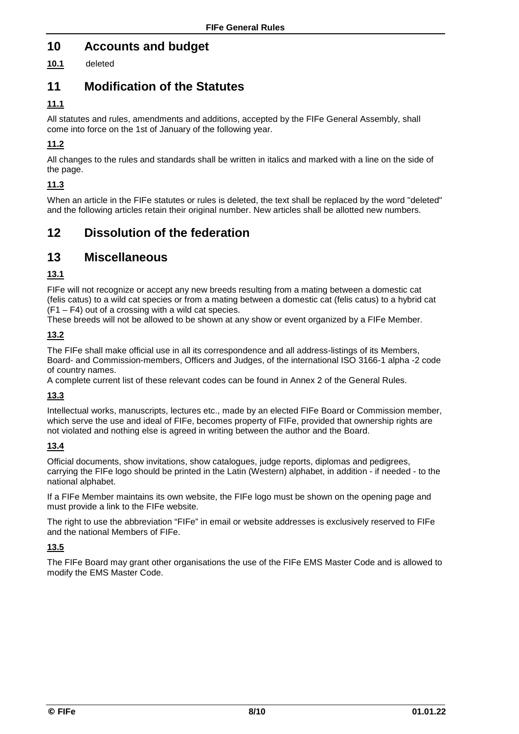### **10 Accounts and budget**

**10.1** deleted

### **11 Modification of the Statutes**

### **11.1**

All statutes and rules, amendments and additions, accepted by the FIFe General Assembly, shall come into force on the 1st of January of the following year.

### **11.2**

All changes to the rules and standards shall be written in italics and marked with a line on the side of the page.

### **11.3**

When an article in the FIFe statutes or rules is deleted, the text shall be replaced by the word "deleted" and the following articles retain their original number. New articles shall be allotted new numbers.

### **12 Dissolution of the federation**

### **13 Miscellaneous**

### **13.1**

FIFe will not recognize or accept any new breeds resulting from a mating between a domestic cat (felis catus) to a wild cat species or from a mating between a domestic cat (felis catus) to a hybrid cat (F1 – F4) out of a crossing with a wild cat species.

These breeds will not be allowed to be shown at any show or event organized by a FIFe Member.

#### **13.2**

The FIFe shall make official use in all its correspondence and all address-listings of its Members, Board- and Commission-members, Officers and Judges, of the international ISO 3166-1 alpha -2 code of country names.

A complete current list of these relevant codes can be found in Annex 2 of the General Rules.

#### **13.3**

Intellectual works, manuscripts, lectures etc., made by an elected FIFe Board or Commission member, which serve the use and ideal of FIFe, becomes property of FIFe, provided that ownership rights are not violated and nothing else is agreed in writing between the author and the Board.

#### **13.4**

Official documents, show invitations, show catalogues, judge reports, diplomas and pedigrees, carrying the FIFe logo should be printed in the Latin (Western) alphabet, in addition - if needed - to the national alphabet.

If a FIFe Member maintains its own website, the FIFe logo must be shown on the opening page and must provide a link to the FIFe website.

The right to use the abbreviation "FIFe" in email or website addresses is exclusively reserved to FIFe and the national Members of FIFe.

### **13.5**

The FIFe Board may grant other organisations the use of the FIFe EMS Master Code and is allowed to modify the EMS Master Code.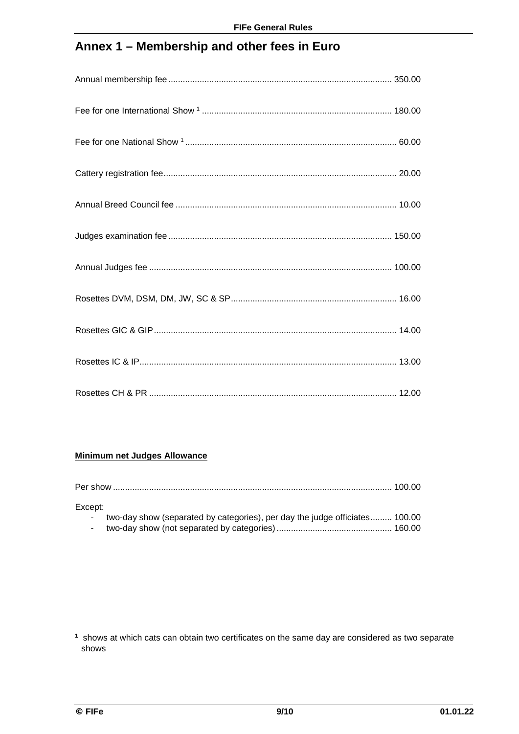## **Annex 1 – Membership and other fees in Euro**

#### **Minimum net Judges Allowance**

| Except:          |                                                                             |  |
|------------------|-----------------------------------------------------------------------------|--|
| $\sim 100$       | two-day show (separated by categories), per day the judge officiates 100.00 |  |
| $\sim$ 100 $\mu$ |                                                                             |  |

**<sup>1</sup>** shows at which cats can obtain two certificates on the same day are considered as two separate shows